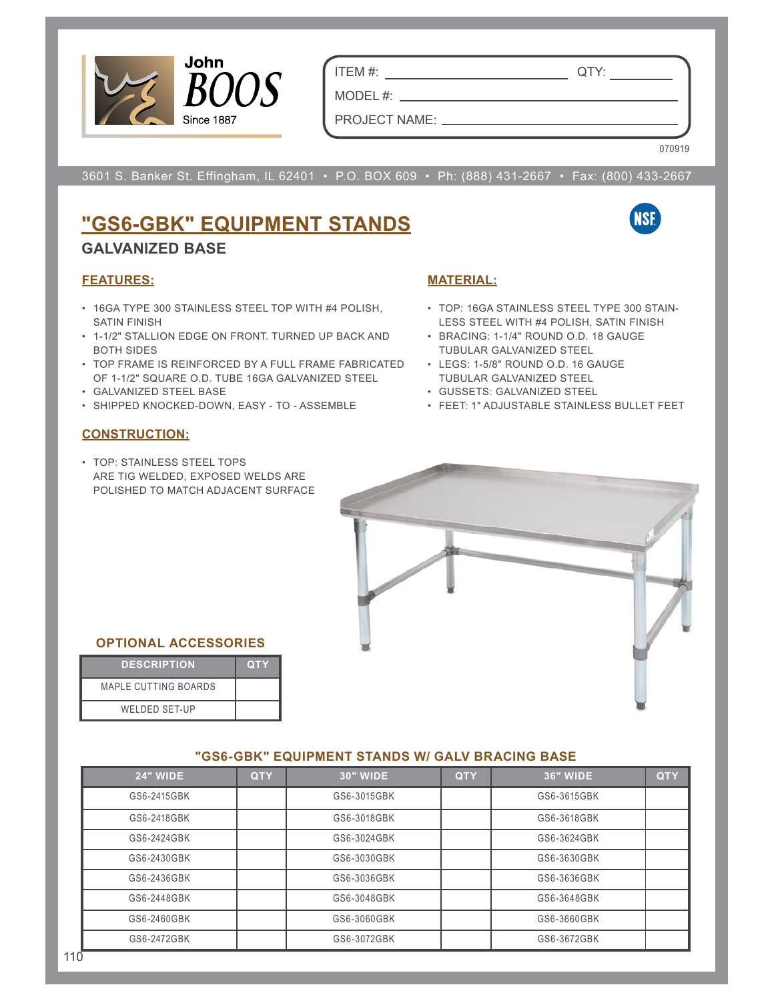

ITEM #: QTY:

PROJECT NAME:

MODEL #:  $\_\_$ 

070919

**NSF** 

3601 S. Banker St. Effingham, IL 62401 • P.O. BOX 609 • Ph: (888) 431-2667 • Fax: (800) 433-2667

# **"GS6-GBK" EQUIPMENT STANDS**

### **GALVANIZED BASE**

#### **FEATURES:**

- 16GA TYPE 300 STAINLESS STEEL TOP WITH #4 POLISH, SATIN FINISH
- 1-1/2" STALLION EDGE ON FRONT. TURNED UP BACK AND BOTH SIDES
- TOP FRAME IS REINFORCED BY A FULL FRAME FABRICATED LEGS: 1-5/8" ROUND O.D. 16 GAUGE OF 1-1/2" SQUARE O.D. TUBE 16GA GALVANIZED STEEL
- GALVANIZED STEEL BASE
- SHIPPED KNOCKED-DOWN, EASY TO ASSEMBLE FEET: 1" ADJUSTABLE STAINLESS BULLET FEET

#### **CONSTRUCTION:**

• TOP: STAINLESS STEEL TOPS ARE TIG WELDED, EXPOSED WELDS ARE POLISHED TO MATCH ADJACENT SURFACE



- TOP: 16GA STAINLESS STEEL TYPE 300 STAIN-LESS STEEL WITH #4 POLISH, SATIN FINISH
- BRACING: 1-1/4" ROUND O.D. 18 GAUGE TUBULAR GALVANIZED STEEL
- TUBULAR GALVANIZED STEEL
- GUSSETS: GALVANIZED STEEL
- 



#### **OPTIONAL ACCESSORIES**

| <b>DESCRIPTION</b>          | <b>QTY</b> |
|-----------------------------|------------|
| <b>MAPLE CUTTING BOARDS</b> |            |
| <b>WELDED SET-UP</b>        |            |

#### **"GS6-GBK" EQUIPMENT STANDS W/ GALV BRACING BASE**

| <b>24" WIDE</b> | <b>QTY</b> | <b>30" WIDE</b> | <b>QTY</b> | <b>36" WIDE</b> | <b>QTY</b> |
|-----------------|------------|-----------------|------------|-----------------|------------|
| GS6-2415GBK     |            | GS6-3015GBK     |            | GS6-3615GBK     |            |
| GS6-2418GBK     |            | GS6-3018GBK     |            | GS6-3618GBK     |            |
| GS6-2424GBK     |            | GS6-3024GBK     |            | GS6-3624GBK     |            |
| GS6-2430GBK     |            | GS6-3030GBK     |            | GS6-3630GBK     |            |
| GS6-2436GBK     |            | GS6-3036GBK     |            | GS6-3636GBK     |            |
| GS6-2448GBK     |            | GS6-3048GBK     |            | GS6-3648GBK     |            |
| GS6-2460GBK     |            | GS6-3060GBK     |            | GS6-3660GBK     |            |
| GS6-2472GBK     |            | GS6-3072GBK     |            | GS6-3672GBK     |            |